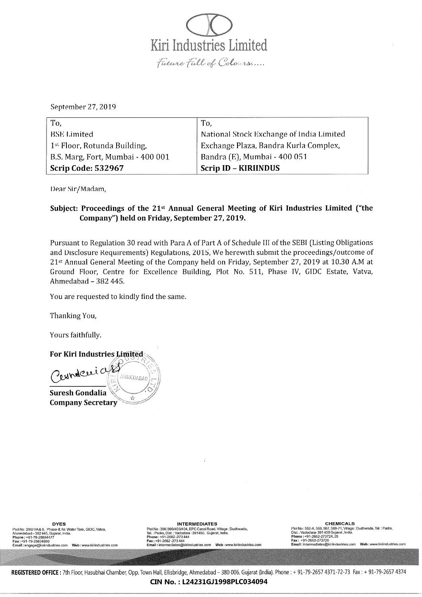Kiri Industries Limited Future Full of Colours.....

September 27,2019

| To,                                      | To,                                       |
|------------------------------------------|-------------------------------------------|
| <b>BSE</b> Limited                       | National Stock Exchange of India Limited  |
| 1 <sup>st</sup> Floor, Rotunda Building, | Exchange Plaza, Bandra Kurla Complex,     |
| B.S. Marg, Fort, Mumbai - 400 001        | <sup> </sup> Bandra (E), Mumbai - 400 051 |
| <b>Scrip Code: 532967</b>                | <b>Scrip ID - KIRIINDUS</b>               |

Dear Sir/Madam,

## Subject: Proceedings of the  $21<sup>st</sup>$  Annual General Meeting of Kiri Industries Limited ("the Company") held on Friday, September 27,2019.

Pursuant to Regulation 30 read with Para A of Part A of Schedule III of the SEBI (Listing Obligations and Disclosure Requirements) Regulations, 2015, We herewith submit the proceedings/outcome of 21st Annual General Meeting of the Company held on Friday, September 27, 2019 at 10.30 A.M at Ground Floor, Centre for Excellence Building, Plot No. 511, Phase IV, GIDC Estate, Vatva, Ahmedabad - 382 445.

You are requested to kindly find the same.

Thanking You,

Yours faithfully.

For Kiri Industries Limited Oersndaerias AHMEDABAD Suresh Gondalia 谂 **Company Secretary** 

Plot No : 299/1/A& B, Phase-II, Nr. Water Tank, GIDC, Vatva,<br>Ahmedabad – 382 445, Gujarat, India. Plot No: 396/399/403/404, EPG Canal Road, Village: Dudhwacta, Tal. : Padra, Dist. : Vadodara - 391450. Gujaral, India. Phone: +91-79-25894477 Phone: +91-2662 -273 444 Phone: +91-2662-273724, 25 Fax: +91-2662 -273 444 Fax: +91-79-25834960 Email: engage@kiriindustries.com Web: www.kiriindustries.com

Email: intermediates@kiriindustries.com Web: www.kiriinduslries.com

**DYES INTERMEDIATES INTERMEDIATES CHEMICALS** Plot No: 552-A, 566, 567, 569-71, Village: Dudhwada, Tal. : Padra, Dist.: Vadodara- 391450 Gujarat, India. Phone: +91-2662-273724, 25<br>Fax: +91-2662-273726 Email: intermediates@kiriindustries.com Web: www.kiriindustries.com

REGISTERED OFFICE: 7th Floor, Hasubhai Chamber, Opp. Town Hall, Ellisbridge, Ahmedabad - 380 006. Gujarat (India). Phone: + 91-79-2657 4371-72-73 Fax: + 91-79-2657 4374 CINNo.:L24231GJ1998PLC034094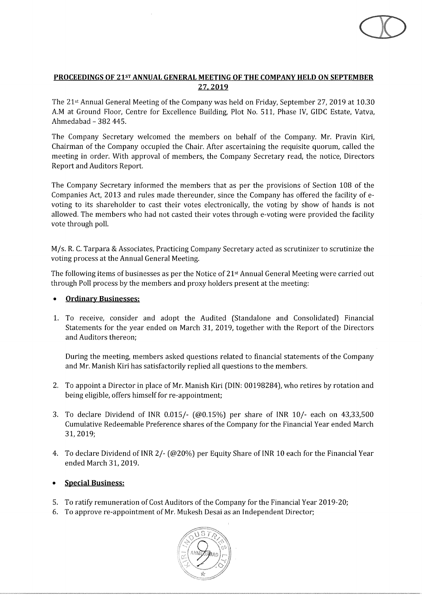## **PROCEEDINGS OF** 21sT **ANNUAL GENERAL MEETING OF THE COMPANY HELD ON SEPTEMBER 27.2019**

The 21st Annual General Meeting of the Company was held on Friday, September 27,2019 at 10.30 A.M at Ground Floor, Centre for Excellence Building, Plot No. 511, Phase IV, GIDC Estate, Vatva, Ahmedabad - 382 445.

The Company Secretary welcomed the members on behalf of the Company. Mr. Pravin Kiri, Chairman of the Company occupied the Chair. After ascertaining the requisite quorum, called the meeting in order. With approval of members, the Company Secretary read, the notice, Directors Report and Auditors Report.

The Company Secretary informed the members that as per the provisions of Section 108 of the Companies Act, 2013 and rules made thereunder, since the Company has offered the facility of evoting to its shareholder to cast their votes electronically, the voting by show of hands is not allowed. The members who had not casted their votes through e-voting were provided the facility vote through poll.

M/s. R. C. Tarpara & Associates, Practicing Company Secretary acted as scrutinizer to scrutinize the voting process at the Annual General Meeting.

The following items of businesses as per the Notice of 21st Annual General Meeting were carried out through Poll process by the members and proxy holders present at the meeting:

- **Ordinary Businesses:**
- 1. To receive, consider and adopt the Audited (Standalone and Consolidated) Financial Statements for the year ended on March 31, 2019, together with the Report of the Directors and Auditors thereon;

During the meeting, members asked questions related to financial statements of the Company and Mr. Manish Kiri has satisfactorily replied all questions to the members.

- 2. To appoint a Director in place of Mr. Manish Kiri (DIN: 00198284), who retires by rotation and being eligible, offers himself for re-appointment;
- 3. To declare Dividend of lNR 0.015/- (@0.15%) per share of INR 10/- each on 43,33,500 Cumulative Redeemable Preference shares of the Company for the Financial Year ended March 31,2019;
- 4. To declare Dividend of INR 2/- (@20%) per Equity Share of INR 10 each for the Financial Year ended March 31, 2019.
- **Special Business:**
- 5. To ratify remuneration of Cost Auditors of the Company for the Financial Year 2019-20;
- 6. To approve re-appointment of Mr. Mukesh Desai as an Independent Director;